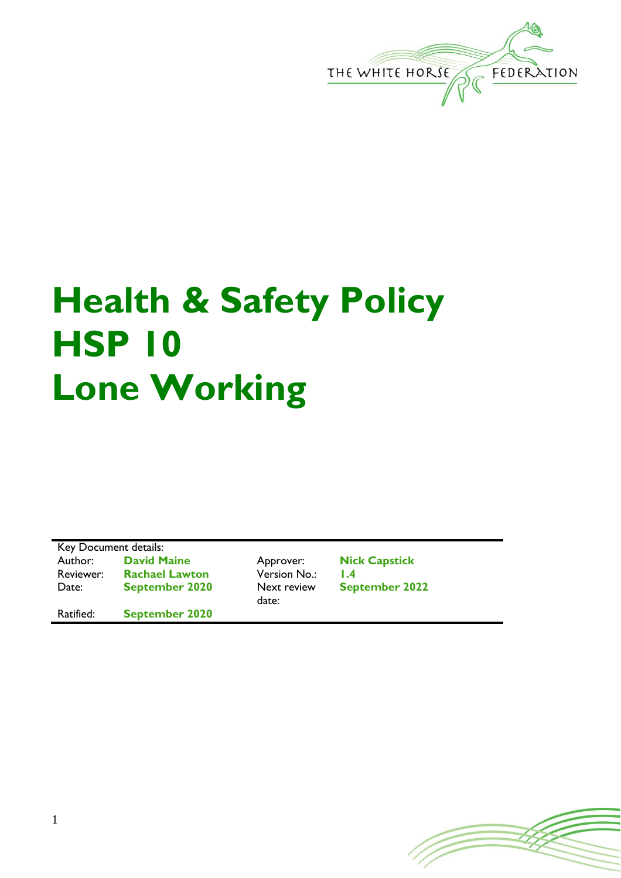

## **Health & Safety Policy HSP 10 Lone Working**

Key Document details: Author: **David Maine** Approver: **Nick Capstick** Reviewer: **Rachael Lawton** Version No.: 1.4<br>Date: **September 2020** Next review Sep Date: **September 2020** 

Ratified: **September 2020**

date:

**September 2022**

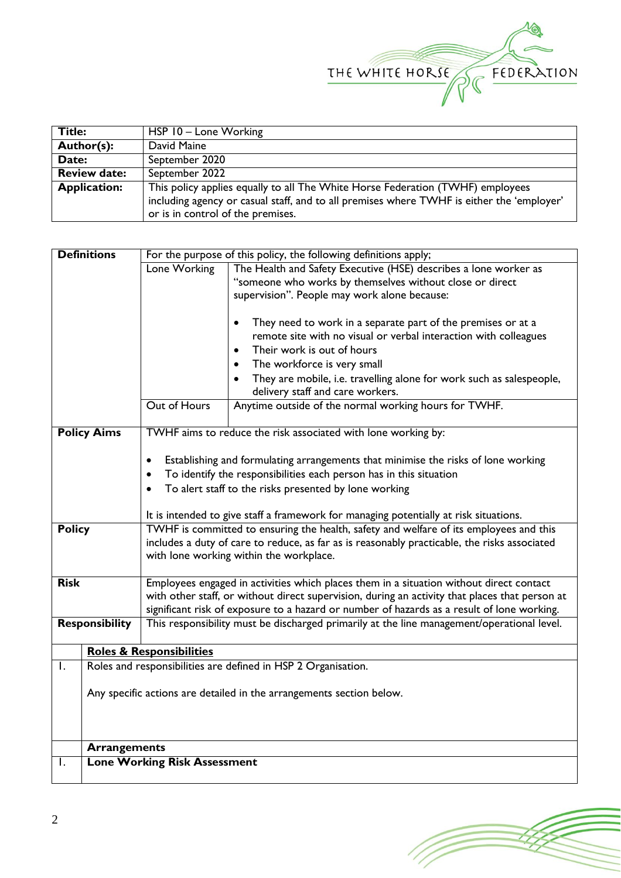

| <b>Title:</b>       | HSP 10 - Lone Working                                                                     |
|---------------------|-------------------------------------------------------------------------------------------|
| Author(s):          | David Maine                                                                               |
| Date:               | September 2020                                                                            |
| <b>Review date:</b> | September 2022                                                                            |
| <b>Application:</b> | This policy applies equally to all The White Horse Federation (TWHF) employees            |
|                     | including agency or casual staff, and to all premises where TWHF is either the 'employer' |
|                     | or is in control of the premises.                                                         |

|                    | <b>Definitions</b>                                            |                                                                                                                                         | For the purpose of this policy, the following definitions apply;                                                                              |  |  |  |
|--------------------|---------------------------------------------------------------|-----------------------------------------------------------------------------------------------------------------------------------------|-----------------------------------------------------------------------------------------------------------------------------------------------|--|--|--|
|                    |                                                               | Lone Working<br>The Health and Safety Executive (HSE) describes a lone worker as                                                        |                                                                                                                                               |  |  |  |
|                    |                                                               |                                                                                                                                         | "someone who works by themselves without close or direct                                                                                      |  |  |  |
|                    |                                                               |                                                                                                                                         | supervision". People may work alone because:                                                                                                  |  |  |  |
|                    |                                                               |                                                                                                                                         | They need to work in a separate part of the premises or at a<br>$\bullet$<br>remote site with no visual or verbal interaction with colleagues |  |  |  |
|                    |                                                               |                                                                                                                                         | Their work is out of hours<br>$\bullet$                                                                                                       |  |  |  |
|                    |                                                               |                                                                                                                                         | The workforce is very small<br>$\bullet$                                                                                                      |  |  |  |
|                    |                                                               |                                                                                                                                         | They are mobile, i.e. travelling alone for work such as salespeople,<br>delivery staff and care workers.                                      |  |  |  |
|                    |                                                               | Out of Hours                                                                                                                            | Anytime outside of the normal working hours for TWHF.                                                                                         |  |  |  |
|                    |                                                               |                                                                                                                                         |                                                                                                                                               |  |  |  |
| <b>Policy Aims</b> |                                                               |                                                                                                                                         | TWHF aims to reduce the risk associated with lone working by:                                                                                 |  |  |  |
|                    |                                                               |                                                                                                                                         |                                                                                                                                               |  |  |  |
|                    |                                                               | Establishing and formulating arrangements that minimise the risks of lone working<br>٠                                                  |                                                                                                                                               |  |  |  |
|                    |                                                               | To identify the responsibilities each person has in this situation<br>$\bullet$                                                         |                                                                                                                                               |  |  |  |
|                    |                                                               | To alert staff to the risks presented by lone working<br>$\bullet$                                                                      |                                                                                                                                               |  |  |  |
|                    |                                                               |                                                                                                                                         |                                                                                                                                               |  |  |  |
|                    |                                                               | It is intended to give staff a framework for managing potentially at risk situations.                                                   |                                                                                                                                               |  |  |  |
| <b>Policy</b>      |                                                               | TWHF is committed to ensuring the health, safety and welfare of its employees and this                                                  |                                                                                                                                               |  |  |  |
|                    |                                                               | includes a duty of care to reduce, as far as is reasonably practicable, the risks associated<br>with lone working within the workplace. |                                                                                                                                               |  |  |  |
|                    |                                                               |                                                                                                                                         |                                                                                                                                               |  |  |  |
| <b>Risk</b>        |                                                               |                                                                                                                                         | Employees engaged in activities which places them in a situation without direct contact                                                       |  |  |  |
|                    |                                                               | with other staff, or without direct supervision, during an activity that places that person at                                          |                                                                                                                                               |  |  |  |
|                    |                                                               | significant risk of exposure to a hazard or number of hazards as a result of lone working.                                              |                                                                                                                                               |  |  |  |
|                    | <b>Responsibility</b>                                         |                                                                                                                                         | This responsibility must be discharged primarily at the line management/operational level.                                                    |  |  |  |
|                    |                                                               | <b>Roles &amp; Responsibilities</b>                                                                                                     |                                                                                                                                               |  |  |  |
| I.                 | Roles and responsibilities are defined in HSP 2 Organisation. |                                                                                                                                         |                                                                                                                                               |  |  |  |
|                    |                                                               |                                                                                                                                         |                                                                                                                                               |  |  |  |
|                    |                                                               | Any specific actions are detailed in the arrangements section below.                                                                    |                                                                                                                                               |  |  |  |
|                    |                                                               |                                                                                                                                         |                                                                                                                                               |  |  |  |
|                    |                                                               |                                                                                                                                         |                                                                                                                                               |  |  |  |
|                    |                                                               |                                                                                                                                         |                                                                                                                                               |  |  |  |
|                    | <b>Arrangements</b>                                           |                                                                                                                                         |                                                                                                                                               |  |  |  |
| Ι.                 |                                                               | <b>Lone Working Risk Assessment</b>                                                                                                     |                                                                                                                                               |  |  |  |

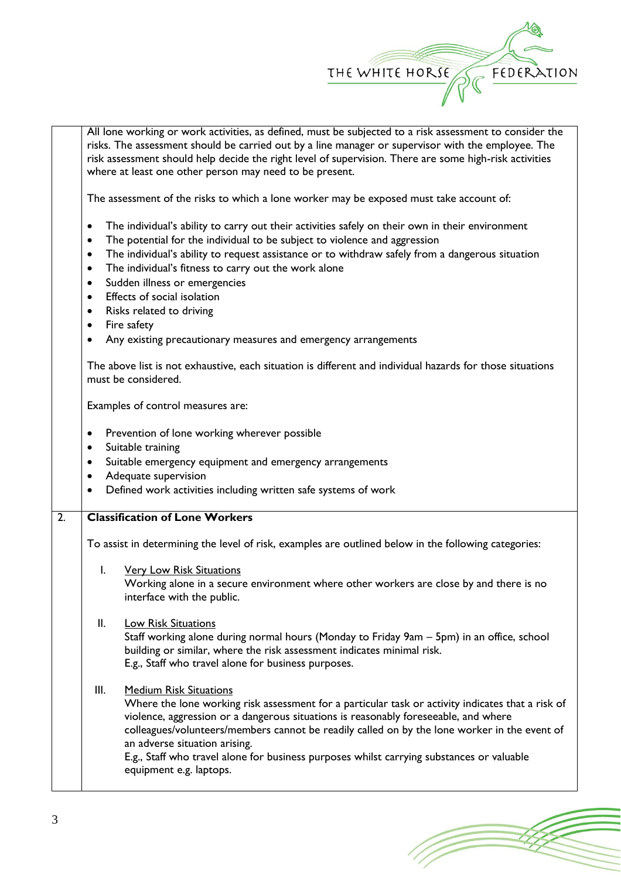

All lone working or work activities, as defined, must be subjected to a risk assessment to consider the risks. The assessment should be carried out by a line manager or supervisor with the employee. The risk assessment should help decide the right level of supervision. There are some high-risk activities where at least one other person may need to be present.

The assessment of the risks to which a lone worker may be exposed must take account of:

- The individual's ability to carry out their activities safely on their own in their environment
- The potential for the individual to be subject to violence and aggression
- The individual's ability to request assistance or to withdraw safely from a dangerous situation
- The individual's fitness to carry out the work alone
- Sudden illness or emergencies
- Effects of social isolation
- Risks related to driving
- Fire safety
- Any existing precautionary measures and emergency arrangements

The above list is not exhaustive, each situation is different and individual hazards for those situations must be considered.

Examples of control measures are:

- Prevention of lone working wherever possible
- Suitable training
- Suitable emergency equipment and emergency arrangements
- Adequate supervision
- Defined work activities including written safe systems of work

## 2. **Classification of Lone Workers**

To assist in determining the level of risk, examples are outlined below in the following categories:

I. Very Low Risk Situations

Working alone in a secure environment where other workers are close by and there is no interface with the public.

- II. Low Risk Situations Staff working alone during normal hours (Monday to Friday 9am – 5pm) in an office, school building or similar, where the risk assessment indicates minimal risk. E.g., Staff who travel alone for business purposes.
- III. Medium Risk Situations Where the lone working risk assessment for a particular task or activity indicates that a risk of violence, aggression or a dangerous situations is reasonably foreseeable, and where colleagues/volunteers/members cannot be readily called on by the lone worker in the event of an adverse situation arising. E.g., Staff who travel alone for business purposes whilst carrying substances or valuable equipment e.g. laptops.

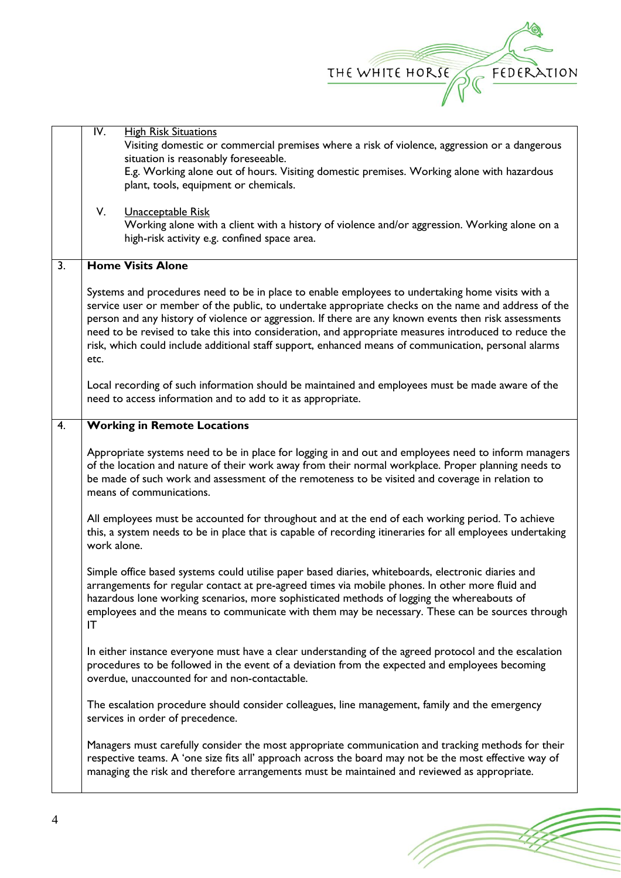

|                  | IV.         | <b>High Risk Situations</b><br>Visiting domestic or commercial premises where a risk of violence, aggression or a dangerous<br>situation is reasonably foreseeable.<br>E.g. Working alone out of hours. Visiting domestic premises. Working alone with hazardous<br>plant, tools, equipment or chemicals.                                                                                                                                                                                                                                                                                                                              |
|------------------|-------------|----------------------------------------------------------------------------------------------------------------------------------------------------------------------------------------------------------------------------------------------------------------------------------------------------------------------------------------------------------------------------------------------------------------------------------------------------------------------------------------------------------------------------------------------------------------------------------------------------------------------------------------|
|                  | V.          | Unacceptable Risk<br>Working alone with a client with a history of violence and/or aggression. Working alone on a<br>high-risk activity e.g. confined space area.                                                                                                                                                                                                                                                                                                                                                                                                                                                                      |
| $\overline{3}$ . |             | <b>Home Visits Alone</b>                                                                                                                                                                                                                                                                                                                                                                                                                                                                                                                                                                                                               |
|                  | etc.        | Systems and procedures need to be in place to enable employees to undertaking home visits with a<br>service user or member of the public, to undertake appropriate checks on the name and address of the<br>person and any history of violence or aggression. If there are any known events then risk assessments<br>need to be revised to take this into consideration, and appropriate measures introduced to reduce the<br>risk, which could include additional staff support, enhanced means of communication, personal alarms<br>Local recording of such information should be maintained and employees must be made aware of the |
|                  |             | need to access information and to add to it as appropriate.                                                                                                                                                                                                                                                                                                                                                                                                                                                                                                                                                                            |
| 4.               |             | <b>Working in Remote Locations</b>                                                                                                                                                                                                                                                                                                                                                                                                                                                                                                                                                                                                     |
|                  |             | Appropriate systems need to be in place for logging in and out and employees need to inform managers<br>of the location and nature of their work away from their normal workplace. Proper planning needs to<br>be made of such work and assessment of the remoteness to be visited and coverage in relation to<br>means of communications.                                                                                                                                                                                                                                                                                             |
|                  | work alone. | All employees must be accounted for throughout and at the end of each working period. To achieve<br>this, a system needs to be in place that is capable of recording itineraries for all employees undertaking                                                                                                                                                                                                                                                                                                                                                                                                                         |
|                  | IT          | Simple office based systems could utilise paper based diaries, whiteboards, electronic diaries and<br>arrangements for regular contact at pre-agreed times via mobile phones. In other more fluid and<br>hazardous lone working scenarios, more sophisticated methods of logging the whereabouts of<br>employees and the means to communicate with them may be necessary. These can be sources through                                                                                                                                                                                                                                 |
|                  |             | In either instance everyone must have a clear understanding of the agreed protocol and the escalation<br>procedures to be followed in the event of a deviation from the expected and employees becoming<br>overdue, unaccounted for and non-contactable.                                                                                                                                                                                                                                                                                                                                                                               |
|                  |             | The escalation procedure should consider colleagues, line management, family and the emergency<br>services in order of precedence.                                                                                                                                                                                                                                                                                                                                                                                                                                                                                                     |
|                  |             | Managers must carefully consider the most appropriate communication and tracking methods for their<br>respective teams. A 'one size fits all' approach across the board may not be the most effective way of<br>managing the risk and therefore arrangements must be maintained and reviewed as appropriate.                                                                                                                                                                                                                                                                                                                           |

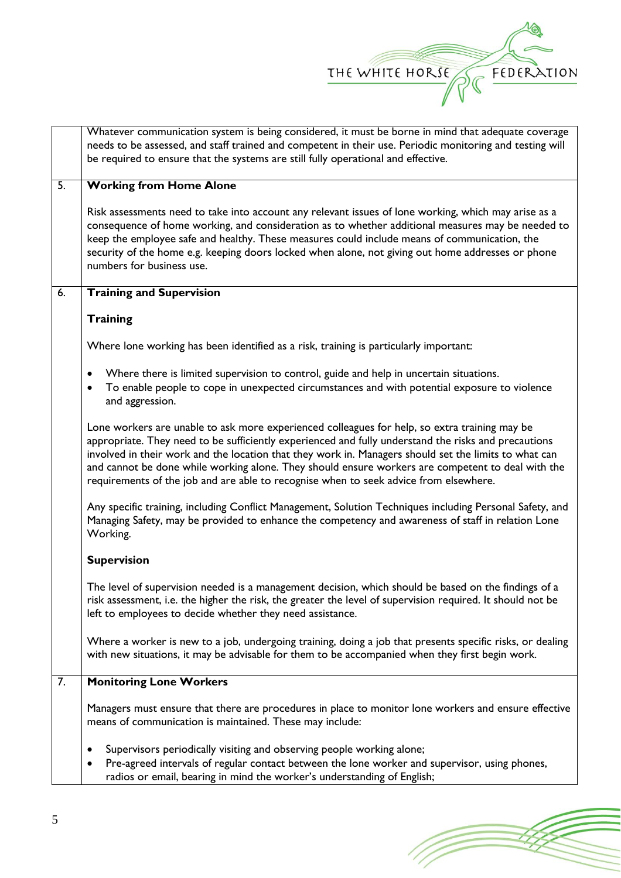

|    | Whatever communication system is being considered, it must be borne in mind that adequate coverage<br>needs to be assessed, and staff trained and competent in their use. Periodic monitoring and testing will                                                                                                                                                                                                                                                                                               |  |  |
|----|--------------------------------------------------------------------------------------------------------------------------------------------------------------------------------------------------------------------------------------------------------------------------------------------------------------------------------------------------------------------------------------------------------------------------------------------------------------------------------------------------------------|--|--|
|    | be required to ensure that the systems are still fully operational and effective.                                                                                                                                                                                                                                                                                                                                                                                                                            |  |  |
| 5. | <b>Working from Home Alone</b>                                                                                                                                                                                                                                                                                                                                                                                                                                                                               |  |  |
|    | Risk assessments need to take into account any relevant issues of lone working, which may arise as a<br>consequence of home working, and consideration as to whether additional measures may be needed to<br>keep the employee safe and healthy. These measures could include means of communication, the<br>security of the home e.g. keeping doors locked when alone, not giving out home addresses or phone<br>numbers for business use.                                                                  |  |  |
| 6. | <b>Training and Supervision</b>                                                                                                                                                                                                                                                                                                                                                                                                                                                                              |  |  |
|    | <b>Training</b>                                                                                                                                                                                                                                                                                                                                                                                                                                                                                              |  |  |
|    | Where lone working has been identified as a risk, training is particularly important:                                                                                                                                                                                                                                                                                                                                                                                                                        |  |  |
|    | Where there is limited supervision to control, guide and help in uncertain situations.<br>$\bullet$<br>To enable people to cope in unexpected circumstances and with potential exposure to violence<br>$\bullet$<br>and aggression.                                                                                                                                                                                                                                                                          |  |  |
|    | Lone workers are unable to ask more experienced colleagues for help, so extra training may be<br>appropriate. They need to be sufficiently experienced and fully understand the risks and precautions<br>involved in their work and the location that they work in. Managers should set the limits to what can<br>and cannot be done while working alone. They should ensure workers are competent to deal with the<br>requirements of the job and are able to recognise when to seek advice from elsewhere. |  |  |
|    | Any specific training, including Conflict Management, Solution Techniques including Personal Safety, and<br>Managing Safety, may be provided to enhance the competency and awareness of staff in relation Lone<br>Working.                                                                                                                                                                                                                                                                                   |  |  |
|    | <b>Supervision</b>                                                                                                                                                                                                                                                                                                                                                                                                                                                                                           |  |  |
|    | The level of supervision needed is a management decision, which should be based on the findings of a<br>risk assessment, i.e. the higher the risk, the greater the level of supervision required. It should not be<br>left to employees to decide whether they need assistance.                                                                                                                                                                                                                              |  |  |
|    | Where a worker is new to a job, undergoing training, doing a job that presents specific risks, or dealing<br>with new situations, it may be advisable for them to be accompanied when they first begin work.                                                                                                                                                                                                                                                                                                 |  |  |
| 7. | <b>Monitoring Lone Workers</b>                                                                                                                                                                                                                                                                                                                                                                                                                                                                               |  |  |
|    | Managers must ensure that there are procedures in place to monitor lone workers and ensure effective<br>means of communication is maintained. These may include:                                                                                                                                                                                                                                                                                                                                             |  |  |
|    | Supervisors periodically visiting and observing people working alone;<br>٠<br>Pre-agreed intervals of regular contact between the lone worker and supervisor, using phones,<br>$\bullet$<br>radios or email, bearing in mind the worker's understanding of English;                                                                                                                                                                                                                                          |  |  |

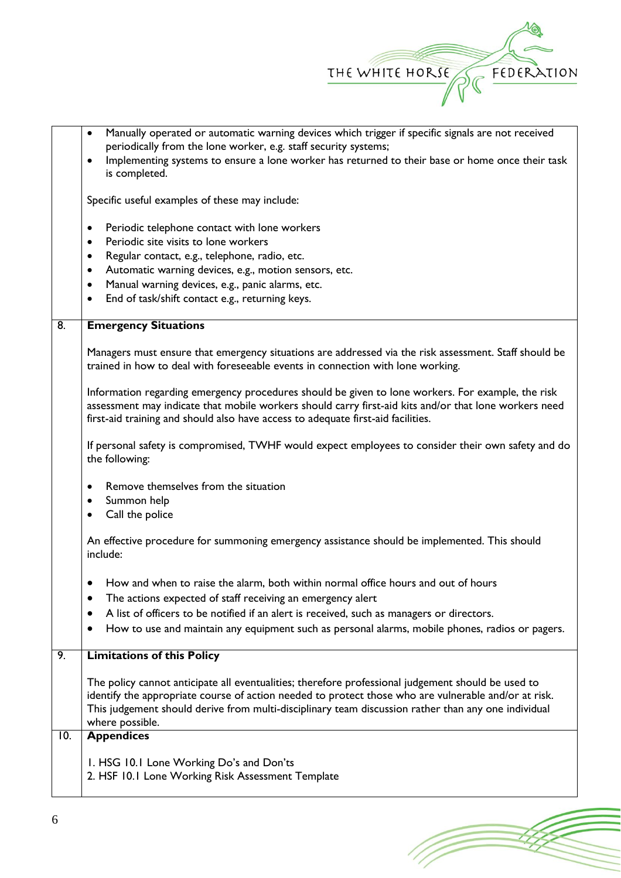

(Topon

|     | Manually operated or automatic warning devices which trigger if specific signals are not received<br>$\bullet$                                                                                                                                                                                                                       |  |  |  |  |  |  |
|-----|--------------------------------------------------------------------------------------------------------------------------------------------------------------------------------------------------------------------------------------------------------------------------------------------------------------------------------------|--|--|--|--|--|--|
|     | periodically from the lone worker, e.g. staff security systems;                                                                                                                                                                                                                                                                      |  |  |  |  |  |  |
|     | Implementing systems to ensure a lone worker has returned to their base or home once their task<br>$\bullet$<br>is completed.                                                                                                                                                                                                        |  |  |  |  |  |  |
|     | Specific useful examples of these may include:                                                                                                                                                                                                                                                                                       |  |  |  |  |  |  |
|     | Periodic telephone contact with lone workers<br>$\bullet$                                                                                                                                                                                                                                                                            |  |  |  |  |  |  |
|     | Periodic site visits to lone workers<br>٠                                                                                                                                                                                                                                                                                            |  |  |  |  |  |  |
|     | Regular contact, e.g., telephone, radio, etc.<br>٠                                                                                                                                                                                                                                                                                   |  |  |  |  |  |  |
|     | Automatic warning devices, e.g., motion sensors, etc.<br>$\bullet$<br>Manual warning devices, e.g., panic alarms, etc.<br>$\bullet$                                                                                                                                                                                                  |  |  |  |  |  |  |
|     | End of task/shift contact e.g., returning keys.<br>٠                                                                                                                                                                                                                                                                                 |  |  |  |  |  |  |
| 8.  | <b>Emergency Situations</b>                                                                                                                                                                                                                                                                                                          |  |  |  |  |  |  |
|     | Managers must ensure that emergency situations are addressed via the risk assessment. Staff should be<br>trained in how to deal with foreseeable events in connection with lone working.                                                                                                                                             |  |  |  |  |  |  |
|     | Information regarding emergency procedures should be given to lone workers. For example, the risk<br>assessment may indicate that mobile workers should carry first-aid kits and/or that lone workers need<br>first-aid training and should also have access to adequate first-aid facilities.                                       |  |  |  |  |  |  |
|     | If personal safety is compromised, TWHF would expect employees to consider their own safety and do<br>the following:                                                                                                                                                                                                                 |  |  |  |  |  |  |
|     | Remove themselves from the situation<br>$\bullet$                                                                                                                                                                                                                                                                                    |  |  |  |  |  |  |
|     | Summon help<br>٠                                                                                                                                                                                                                                                                                                                     |  |  |  |  |  |  |
|     | Call the police<br>٠                                                                                                                                                                                                                                                                                                                 |  |  |  |  |  |  |
|     | An effective procedure for summoning emergency assistance should be implemented. This should<br>include:                                                                                                                                                                                                                             |  |  |  |  |  |  |
|     | How and when to raise the alarm, both within normal office hours and out of hours<br>The actions expected of staff receiving an emergency alert<br>٠                                                                                                                                                                                 |  |  |  |  |  |  |
|     | A list of officers to be notified if an alert is received, such as managers or directors.                                                                                                                                                                                                                                            |  |  |  |  |  |  |
|     | How to use and maintain any equipment such as personal alarms, mobile phones, radios or pagers.                                                                                                                                                                                                                                      |  |  |  |  |  |  |
| 9.  | <b>Limitations of this Policy</b>                                                                                                                                                                                                                                                                                                    |  |  |  |  |  |  |
|     | The policy cannot anticipate all eventualities; therefore professional judgement should be used to<br>identify the appropriate course of action needed to protect those who are vulnerable and/or at risk.<br>This judgement should derive from multi-disciplinary team discussion rather than any one individual<br>where possible. |  |  |  |  |  |  |
| 10. | <b>Appendices</b>                                                                                                                                                                                                                                                                                                                    |  |  |  |  |  |  |
|     | I. HSG 10.1 Lone Working Do's and Don'ts<br>2. HSF 10.1 Lone Working Risk Assessment Template                                                                                                                                                                                                                                        |  |  |  |  |  |  |
|     |                                                                                                                                                                                                                                                                                                                                      |  |  |  |  |  |  |